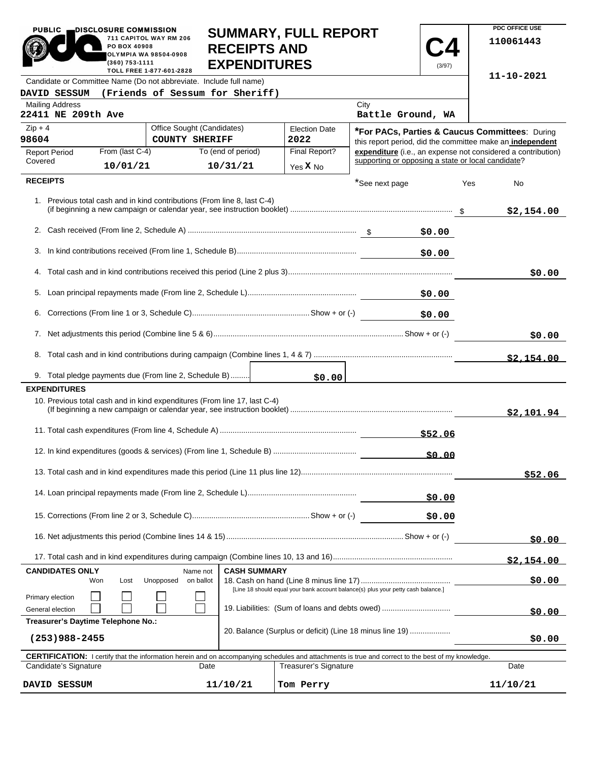| <b>PUBLIC</b><br>DISCLOSURE COMMISSION<br>711 CAPITOL WAY RM 206<br>PO BOX 40908<br>OLYMPIA WA 98504-0908<br>(360) 753-1111                         |                                                                                                                                     |                                                     |      | <b>SUMMARY, FULL REPORT</b><br><b>RECEIPTS AND</b><br><b>EXPENDITURES</b> |                              |                                                                                                                    | (3/97) |        | PDC OFFICE USE<br>110061443 |
|-----------------------------------------------------------------------------------------------------------------------------------------------------|-------------------------------------------------------------------------------------------------------------------------------------|-----------------------------------------------------|------|---------------------------------------------------------------------------|------------------------------|--------------------------------------------------------------------------------------------------------------------|--------|--------|-----------------------------|
| Candidate or Committee Name (Do not abbreviate. Include full name)                                                                                  |                                                                                                                                     | TOLL FREE 1-877-601-2828                            |      |                                                                           |                              |                                                                                                                    |        |        | 11-10-2021                  |
| DAVID SESSUM                                                                                                                                        |                                                                                                                                     |                                                     |      | (Friends of Sessum for Sheriff)                                           |                              |                                                                                                                    |        |        |                             |
| <b>Mailing Address</b><br>22411 NE 209th Ave                                                                                                        |                                                                                                                                     |                                                     |      |                                                                           |                              | City<br>Battle Ground, WA                                                                                          |        |        |                             |
| $Zip + 4$<br>98604                                                                                                                                  |                                                                                                                                     | Office Sought (Candidates)<br><b>COUNTY SHERIFF</b> |      |                                                                           | <b>Election Date</b><br>2022 | *For PACs, Parties & Caucus Committees: During<br>this report period, did the committee make an independent        |        |        |                             |
| <b>Report Period</b><br>Covered                                                                                                                     | From (last C-4)<br>10/01/21                                                                                                         |                                                     |      | To (end of period)<br>10/31/21                                            | Final Report?<br>Yes X No    | expenditure (i.e., an expense not considered a contribution)<br>supporting or opposing a state or local candidate? |        |        |                             |
| <b>RECEIPTS</b>                                                                                                                                     |                                                                                                                                     |                                                     |      |                                                                           |                              | *See next page                                                                                                     |        | Yes    |                             |
| 1. Previous total cash and in kind contributions (From line 8, last C-4)                                                                            |                                                                                                                                     |                                                     |      |                                                                           |                              |                                                                                                                    |        |        | No<br>\$2,154.00            |
|                                                                                                                                                     |                                                                                                                                     |                                                     |      |                                                                           |                              |                                                                                                                    | \$0.00 |        |                             |
|                                                                                                                                                     |                                                                                                                                     |                                                     |      |                                                                           |                              |                                                                                                                    | \$0.00 |        |                             |
|                                                                                                                                                     |                                                                                                                                     |                                                     |      |                                                                           |                              |                                                                                                                    |        |        | \$0.00                      |
|                                                                                                                                                     |                                                                                                                                     |                                                     |      |                                                                           |                              |                                                                                                                    | \$0.00 |        |                             |
|                                                                                                                                                     |                                                                                                                                     |                                                     |      |                                                                           |                              |                                                                                                                    | \$0.00 |        |                             |
|                                                                                                                                                     |                                                                                                                                     |                                                     |      |                                                                           |                              |                                                                                                                    |        |        | \$0.00                      |
|                                                                                                                                                     |                                                                                                                                     |                                                     |      |                                                                           |                              |                                                                                                                    |        |        | \$2.154.00                  |
| 9. Total pledge payments due (From line 2, Schedule B)                                                                                              |                                                                                                                                     |                                                     |      |                                                                           | \$0.00                       |                                                                                                                    |        |        |                             |
| <b>EXPENDITURES</b>                                                                                                                                 |                                                                                                                                     |                                                     |      |                                                                           |                              |                                                                                                                    |        |        |                             |
| 10. Previous total cash and in kind expenditures (From line 17, last C-4)                                                                           |                                                                                                                                     |                                                     |      |                                                                           |                              |                                                                                                                    |        |        | \$2,101.94                  |
|                                                                                                                                                     |                                                                                                                                     |                                                     |      |                                                                           |                              |                                                                                                                    |        |        |                             |
|                                                                                                                                                     |                                                                                                                                     |                                                     |      |                                                                           |                              |                                                                                                                    | \$0.00 |        |                             |
|                                                                                                                                                     |                                                                                                                                     |                                                     |      |                                                                           |                              |                                                                                                                    |        |        | \$52.06                     |
|                                                                                                                                                     |                                                                                                                                     |                                                     |      |                                                                           |                              |                                                                                                                    | \$0.00 |        |                             |
|                                                                                                                                                     |                                                                                                                                     |                                                     |      |                                                                           |                              |                                                                                                                    | \$0.00 |        |                             |
|                                                                                                                                                     |                                                                                                                                     |                                                     |      |                                                                           |                              |                                                                                                                    |        |        | \$0.00                      |
|                                                                                                                                                     |                                                                                                                                     |                                                     |      |                                                                           |                              |                                                                                                                    |        |        | \$2,154.00                  |
| <b>CASH SUMMARY</b><br><b>CANDIDATES ONLY</b><br>Name not<br>Unopposed<br>on ballot<br>Won<br>Lost                                                  |                                                                                                                                     |                                                     |      |                                                                           |                              |                                                                                                                    |        | \$0.00 |                             |
| Primary election<br>General election                                                                                                                | [Line 18 should equal your bank account balance(s) plus your petty cash balance.]<br>19. Liabilities: (Sum of loans and debts owed) |                                                     |      |                                                                           |                              |                                                                                                                    |        | \$0.00 |                             |
| Treasurer's Daytime Telephone No.:<br>20. Balance (Surplus or deficit) (Line 18 minus line 19)<br>$(253)988 - 2455$                                 |                                                                                                                                     |                                                     |      |                                                                           |                              |                                                                                                                    |        | \$0.00 |                             |
| CERTIFICATION: I certify that the information herein and on accompanying schedules and attachments is true and correct to the best of my knowledge. |                                                                                                                                     |                                                     |      |                                                                           |                              |                                                                                                                    |        |        |                             |
| Candidate's Signature                                                                                                                               |                                                                                                                                     |                                                     | Date |                                                                           | <b>Treasurer's Signature</b> |                                                                                                                    |        |        | Date                        |
| DAVID SESSUM                                                                                                                                        |                                                                                                                                     |                                                     |      | 11/10/21                                                                  | Tom Perry                    |                                                                                                                    |        |        | 11/10/21                    |